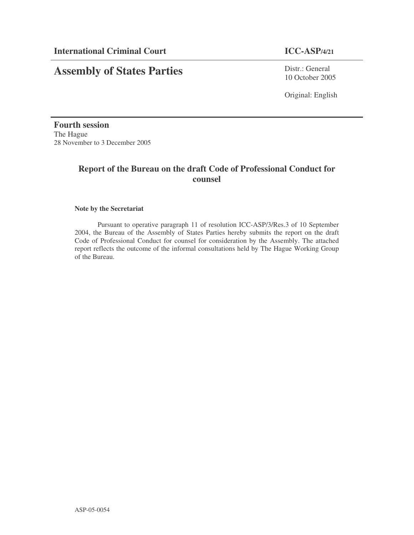## **Assembly of States Parties**

Distr.: General 10 October 2005

Original: English

**Fourth session** The Hague 28 November to 3 December 2005

## **Report of the Bureau on the draft Code of Professional Conduct for counsel**

#### **Note by the Secretariat**

Pursuant to operative paragraph 11 of resolution ICC-ASP/3/Res.3 of 10 September 2004, the Bureau of the Assembly of States Parties hereby submits the report on the draft Code of Professional Conduct for counsel for consideration by the Assembly. The attached report reflects the outcome of the informal consultations held by The Hague Working Group of the Bureau.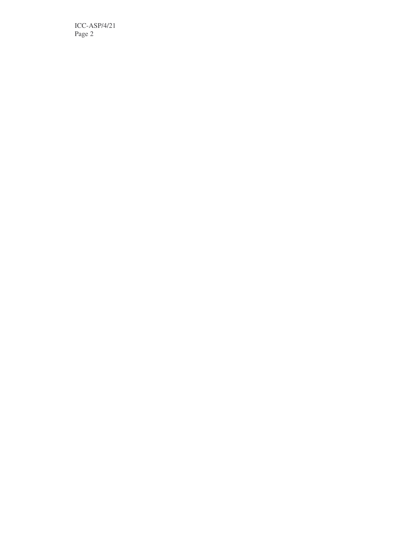ICC-ASP/4/21 Page 2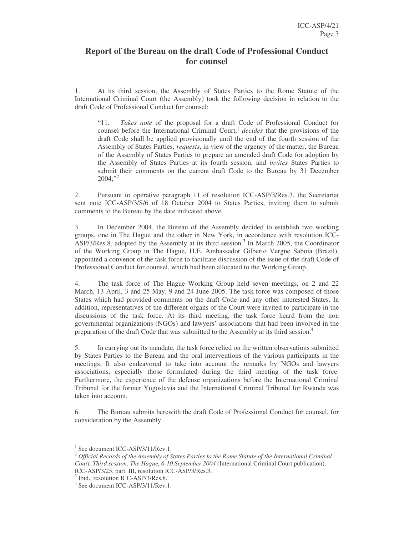## **Report of the Bureau on the draft Code of Professional Conduct for counsel**

1. At its third session, the Assembly of States Parties to the Rome Statute of the International Criminal Court (the Assembly) took the following decision in relation to the draft Code of Professional Conduct for counsel:

"11. *Takes note* of the proposal for a draft Code of Professional Conduct for counsel before the International Criminal Court, 1 *decides* that the provisions of the draft Code shall be applied provisionally until the end of the fourth session of the Assembly of States Parties, *requests*, in view of the urgency of the matter, the Bureau of the Assembly of States Parties to prepare an amended draft Code for adoption by the Assembly of States Parties at its fourth session, and *invites* States Parties to submit their comments on the current draft Code to the Bureau by 31 December  $2004;$ <sup>2</sup>

2. Pursuant to operative paragraph 11 of resolution ICC-ASP/3/Res.3, the Secretariat sent note ICC-ASP/3/S/6 of 18 October 2004 to States Parties, inviting them to submit comments to the Bureau by the date indicated above.

3. In December 2004, the Bureau of the Assembly decided to establish two working groups, one in The Hague and the other in New York, in accordance with resolution ICC-ASP/3/Res.8, adopted by the Assembly at its third session. 3 In March 2005, the Coordinator of the Working Group in The Hague, H.E. Ambassador Gilberto Vergne Saboia (Brazil), appointed a convenor of the task force to facilitate discussion of the issue of the draft Code of Professional Conduct for counsel, which had been allocated to the Working Group.

4. The task force of The Hague Working Group held seven meetings, on 2 and 22 March, 13 April, 3 and 25 May, 9 and 24 June 2005. The task force was composed of those States which had provided comments on the draft Code and any other interested States. In addition, representatives of the different organs of the Court were invited to participate in the discussions of the task force. At its third meeting, the task force heard from the non governmental organizations (NGOs) and lawyers' associations that had been involved in the preparation of the draft Code that was submitted to the Assembly at its third session. 4

5. In carrying out its mandate, the task force relied on the written observations submitted by States Parties to the Bureau and the oral interventions of the various participants in the meetings. It also endeavored to take into account the remarks by NGOs and lawyers associations, especially those formulated during the third meeting of the task force. Furthermore, the experience of the defense organizations before the International Criminal Tribunal for the former Yugoslavia and the International Criminal Tribunal for Rwanda was taken into account.

6. The Bureau submits herewith the draft Code of Professional Conduct for counsel, for consideration by the Assembly.

<sup>3</sup> Ibid., resolution ICC-ASP/3/Res.8.

<sup>&</sup>lt;sup>1</sup> See document ICC-ASP/3/11/Rev.1.

<sup>2</sup> *Official Records of the Assembly of States Parties to the Rome Statute of the International Criminal Court, Third session*, *The Hague, 6-10 September 2004* (International Criminal Court publication), ICC-ASP/3/25, part. III, resolution ICC-ASP/3/Res.3.

<sup>4</sup> See document ICC-ASP/3/11/Rev.1.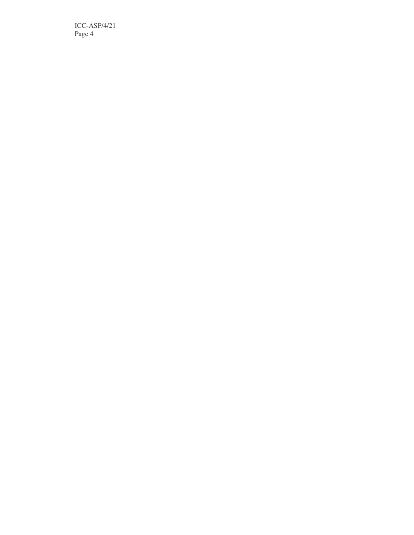ICC-ASP/4/21 Page 4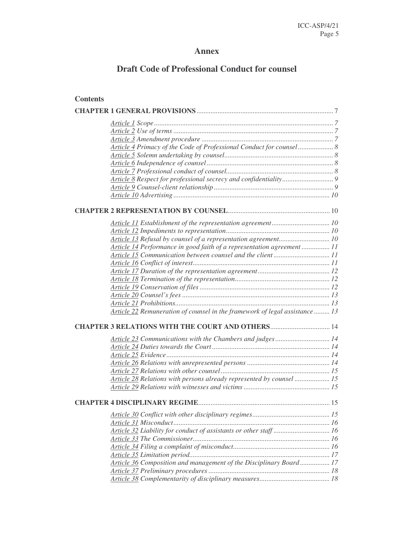## **Annex**

## **Draft Code of Professional Conduct for counsel**

| <b>Contents</b>                                                            |  |
|----------------------------------------------------------------------------|--|
|                                                                            |  |
|                                                                            |  |
|                                                                            |  |
|                                                                            |  |
| Article 4 Primacy of the Code of Professional Conduct for counsel 8        |  |
|                                                                            |  |
|                                                                            |  |
|                                                                            |  |
|                                                                            |  |
|                                                                            |  |
|                                                                            |  |
|                                                                            |  |
|                                                                            |  |
|                                                                            |  |
|                                                                            |  |
| Article 13 Refusal by counsel of a representation agreement 10             |  |
| Article 14 Performance in good faith of a representation agreement  11     |  |
| Article 15 Communication between counsel and the client11                  |  |
|                                                                            |  |
|                                                                            |  |
|                                                                            |  |
|                                                                            |  |
|                                                                            |  |
|                                                                            |  |
| Article 22 Remuneration of counsel in the framework of legal assistance 13 |  |
| <b>CHAPTER 3 RELATIONS WITH THE COURT AND OTHERS</b> 14                    |  |
| Article 23 Communications with the Chambers and judges 14                  |  |
|                                                                            |  |
|                                                                            |  |
|                                                                            |  |
|                                                                            |  |
| Article 28 Relations with persons already represented by counsel  15       |  |
|                                                                            |  |
|                                                                            |  |
|                                                                            |  |
|                                                                            |  |
|                                                                            |  |
| Article 32 Liability for conduct of assistants or other staff 16           |  |
|                                                                            |  |
|                                                                            |  |
|                                                                            |  |
| Article 36 Composition and management of the Disciplinary Board 17         |  |
|                                                                            |  |
|                                                                            |  |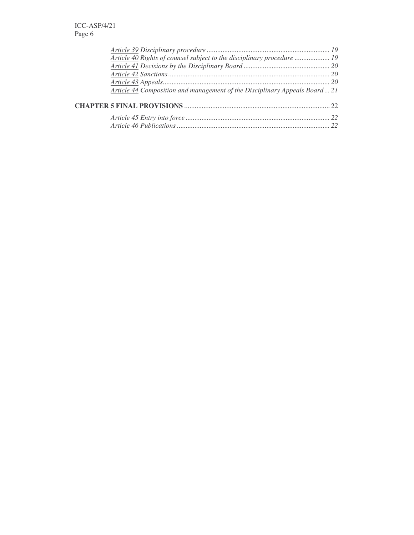| Article 40 Rights of counsel subject to the disciplinary procedure  19     |  |
|----------------------------------------------------------------------------|--|
|                                                                            |  |
|                                                                            |  |
|                                                                            |  |
| Article 44 Composition and management of the Disciplinary Appeals Board 21 |  |
|                                                                            |  |
|                                                                            |  |
|                                                                            |  |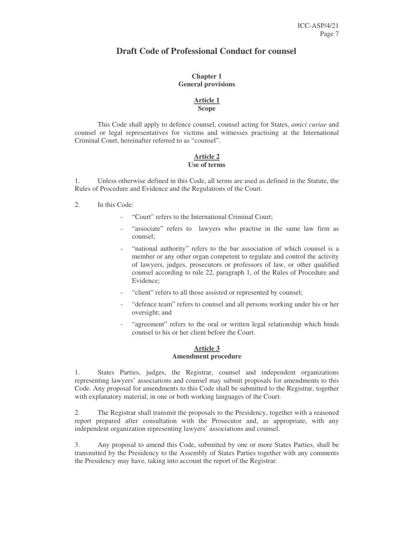## **Draft Code of Professional Conduct for counsel**

#### **Chapter 1 General provisions**

#### **Article 1 Scope**

This Code shall apply to defence counsel, counsel acting for States, *amici curiae* and counsel or legal representatives for victims and witnesses practising at the International Criminal Court, hereinafter referred to as "counsel".

# **Article 2**

#### **Use of terms**

1. Unless otherwise defined in this Code, all terms are used as defined in the Statute, the Rules of Procedure and Evidence and the Regulations of the Court.

#### 2. In this Code:

- "Court" refers to the International Criminal Court:
- "associate" refers to lawyers who practise in the same law firm as counsel;
- "national authority" refers to the bar association of which counsel is a member or any other organ competent to regulate and control the activity of lawyers, judges, prosecutors or professors of law, or other qualified counsel according to rule 22, paragraph 1, of the Rules of Procedure and Evidence;
- "client" refers to all those assisted or represented by counsel;
- "defence team" refers to counsel and all persons working under his or her oversight; and
- "agreement" refers to the oral or written legal relationship which binds counsel to his or her client before the Court.

#### **Article 3 Amendment procedure**

1. States Parties, judges, the Registrar, counsel and independent organizations representing lawyers' associations and counsel may submit proposals for amendments to this Code. Any proposal for amendments to this Code shall be submitted to the Registrar, together with explanatory material, in one or both working languages of the Court.

2. The Registrar shall transmit the proposals to the Presidency, together with a reasoned report prepared after consultation with the Prosecutor and, as appropriate, with any independent organization representing lawyers' associations and counsel.

3. Any proposal to amend this Code, submitted by one or more States Parties, shall be transmitted by the Presidency to the Assembly of States Parties together with any comments the Presidency may have, taking into account the report of the Registrar.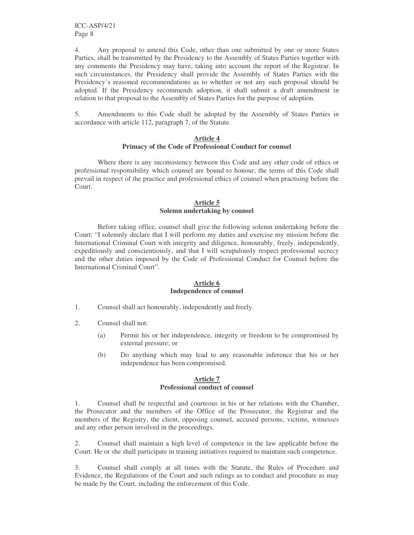4. Any proposal to amend this Code, other than one submitted by one or more States Parties, shall be transmitted by the Presidency to the Assembly of States Parties together with any comments the Presidency may have, taking into account the report of the Registrar. In such circumstances, the Presidency shall provide the Assembly of States Parties with the Presidency's reasoned recommendations as to whether or not any such proposal should be adopted. If the Presidency recommends adoption, it shall submit a draft amendment in relation to that proposal to the Assembly of States Parties for the purpose of adoption.

5. Amendments to this Code shall be adopted by the Assembly of States Parties in accordance with article 112, paragraph 7, of the Statute.

#### **Article 4 Primacy of the Code of Professional Conduct for counsel**

Where there is any inconsistency between this Code and any other code of ethics or professional responsibility which counsel are bound to honour, the terms of this Code shall prevail in respect of the practice and professional ethics of counsel when practising before the Court.

#### **Article 5 Solemn undertaking by counsel**

Before taking office, counsel shall give the following solemn undertaking before the Court: "I solemnly declare that I will perform my duties and exercise my mission before the International Criminal Court with integrity and diligence, honourably, freely, independently, expeditiously and conscientiously, and that I will scrupulously respect professional secrecy and the other duties imposed by the Code of Professional Conduct for Counsel before the International Criminal Court".

#### **Article 6 Independence of counsel**

- 1. Counsel shall act honourably, independently and freely.
- 2. Counsel shall not:
	- (a) Permit his or her independence, integrity or freedom to be compromised by external pressure; or
	- (b) Do anything which may lead to any reasonable inference that his or her independence has been compromised.

#### **Article 7 Professional conduct of counsel**

1. Counsel shall be respectful and courteous in his or her relations with the Chamber, the Prosecutor and the members of the Office of the Prosecutor, the Registrar and the members of the Registry, the client, opposing counsel, accused persons, victims, witnesses and any other person involved in the proceedings.

2. Counsel shall maintain a high level of competence in the law applicable before the Court. He or she shall participate in training initiatives required to maintain such competence.

3. Counsel shall comply at all times with the Statute, the Rules of Procedure and Evidence, the Regulations of the Court and such rulings as to conduct and procedure as may be made by the Court, including the enforcement of this Code.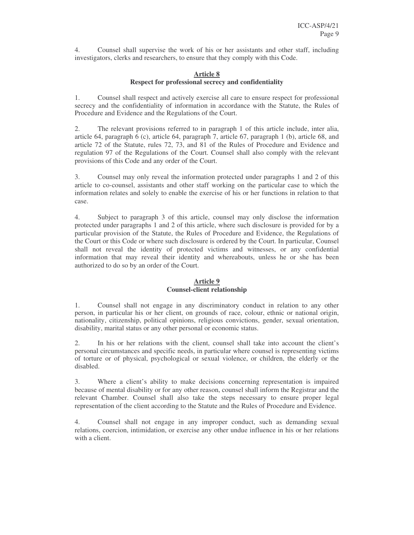4. Counsel shall supervise the work of his or her assistants and other staff, including investigators, clerks and researchers, to ensure that they comply with this Code.

### **Article 8**

#### **Respect for professional secrecy and confidentiality**

1. Counsel shall respect and actively exercise all care to ensure respect for professional secrecy and the confidentiality of information in accordance with the Statute, the Rules of Procedure and Evidence and the Regulations of the Court.

2. The relevant provisions referred to in paragraph 1 of this article include, inter alia, article 64, paragraph 6 (c), article 64, paragraph 7, article 67, paragraph 1 (b), article 68, and article 72 of the Statute, rules 72, 73, and 81 of the Rules of Procedure and Evidence and regulation 97 of the Regulations of the Court. Counsel shall also comply with the relevant provisions of this Code and any order of the Court.

3. Counsel may only reveal the information protected under paragraphs 1 and 2 of this article to co-counsel, assistants and other staff working on the particular case to which the information relates and solely to enable the exercise of his or her functions in relation to that case.

4. Subject to paragraph 3 of this article, counsel may only disclose the information protected under paragraphs 1 and 2 of this article, where such disclosure is provided for by a particular provision of the Statute, the Rules of Procedure and Evidence, the Regulations of the Court or this Code or where such disclosure is ordered by the Court. In particular, Counsel shall not reveal the identity of protected victims and witnesses, or any confidential information that may reveal their identity and whereabouts, unless he or she has been authorized to do so by an order of the Court.

#### **Article 9 Counsel-client relationship**

1. Counsel shall not engage in any discriminatory conduct in relation to any other person, in particular his or her client, on grounds of race, colour, ethnic or national origin, nationality, citizenship, political opinions, religious convictions, gender, sexual orientation, disability, marital status or any other personal or economic status.

2. In his or her relations with the client, counsel shall take into account the client's personal circumstances and specific needs, in particular where counsel is representing victims of torture or of physical, psychological or sexual violence, or children, the elderly or the disabled.

3. Where a client's ability to make decisions concerning representation is impaired because of mental disability or for any other reason, counsel shall inform the Registrar and the relevant Chamber. Counsel shall also take the steps necessary to ensure proper legal representation of the client according to the Statute and the Rules of Procedure and Evidence.

4. Counsel shall not engage in any improper conduct, such as demanding sexual relations, coercion, intimidation, or exercise any other undue influence in his or her relations with a client.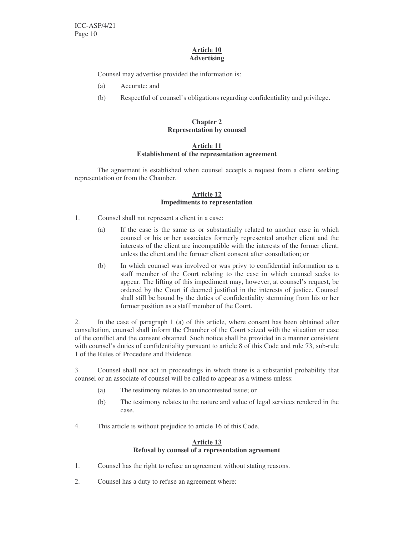#### **Article 10 Advertising**

Counsel may advertise provided the information is:

- (a) Accurate; and
- (b) Respectful of counsel's obligations regarding confidentiality and privilege.

#### **Chapter 2 Representation by counsel**

#### **Article 11 Establishment of the representation agreement**

The agreement is established when counsel accepts a request from a client seeking representation or from the Chamber.

#### **Article 12 Impediments to representation**

- 1. Counsel shall not represent a client in a case:
	- (a) If the case is the same as or substantially related to another case in which counsel or his or her associates formerly represented another client and the interests of the client are incompatible with the interests of the former client, unless the client and the former client consent after consultation; or
	- (b) In which counsel was involved or was privy to confidential information as a staff member of the Court relating to the case in which counsel seeks to appear. The lifting of this impediment may, however, at counsel's request, be ordered by the Court if deemed justified in the interests of justice. Counsel shall still be bound by the duties of confidentiality stemming from his or her former position as a staff member of the Court.

2. In the case of paragraph 1 (a) of this article, where consent has been obtained after consultation, counsel shall inform the Chamber of the Court seized with the situation or case of the conflict and the consent obtained. Such notice shall be provided in a manner consistent with counsel's duties of confidentiality pursuant to article 8 of this Code and rule 73, sub-rule 1 of the Rules of Procedure and Evidence.

3. Counsel shall not act in proceedings in which there is a substantial probability that counsel or an associate of counsel will be called to appear as a witness unless:

- (a) The testimony relates to an uncontested issue; or
- (b) The testimony relates to the nature and value of legal services rendered in the case.
- 4. This article is without prejudice to article 16 of this Code.

#### **Article 13 Refusal by counsel of a representation agreement**

- 1. Counsel has the right to refuse an agreement without stating reasons.
- 2. Counsel has a duty to refuse an agreement where: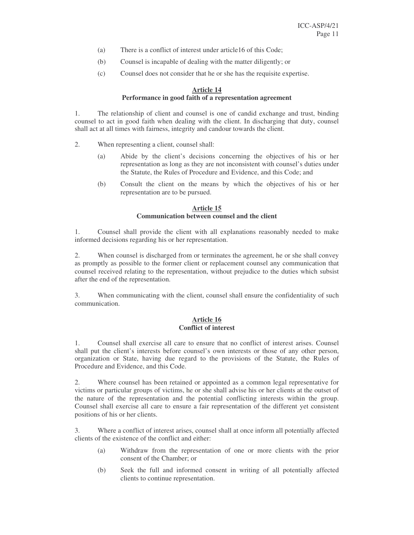- (a) There is a conflict of interest under article16 of this Code;
- (b) Counsel is incapable of dealing with the matter diligently; or
- (c) Counsel does not consider that he or she has the requisite expertise.

#### **Article 14**

### **Performance in good faith of a representation agreement**

1. The relationship of client and counsel is one of candid exchange and trust, binding counsel to act in good faith when dealing with the client. In discharging that duty, counsel shall act at all times with fairness, integrity and candour towards the client.

- 2. When representing a client, counsel shall:
	- (a) Abide by the client's decisions concerning the objectives of his or her representation as long as they are not inconsistent with counsel's duties under the Statute, the Rules of Procedure and Evidence, and this Code; and
	- (b) Consult the client on the means by which the objectives of his or her representation are to be pursued.

### **Article 15 Communication between counsel and the client**

1. Counsel shall provide the client with all explanations reasonably needed to make informed decisions regarding his or her representation.

2. When counsel is discharged from or terminates the agreement, he or she shall convey as promptly as possible to the former client or replacement counsel any communication that counsel received relating to the representation, without prejudice to the duties which subsist after the end of the representation.

3. When communicating with the client, counsel shall ensure the confidentiality of such communication.

#### **Article 16 Conflict of interest**

1. Counsel shall exercise all care to ensure that no conflict of interest arises. Counsel shall put the client's interests before counsel's own interests or those of any other person, organization or State, having due regard to the provisions of the Statute, the Rules of Procedure and Evidence, and this Code.

2. Where counsel has been retained or appointed as a common legal representative for victims or particular groups of victims, he or she shall advise his or her clients at the outset of the nature of the representation and the potential conflicting interests within the group. Counsel shall exercise all care to ensure a fair representation of the different yet consistent positions of his or her clients.

3. Where a conflict of interest arises, counsel shall at once inform all potentially affected clients of the existence of the conflict and either:

- (a) Withdraw from the representation of one or more clients with the prior consent of the Chamber; or
- (b) Seek the full and informed consent in writing of all potentially affected clients to continue representation.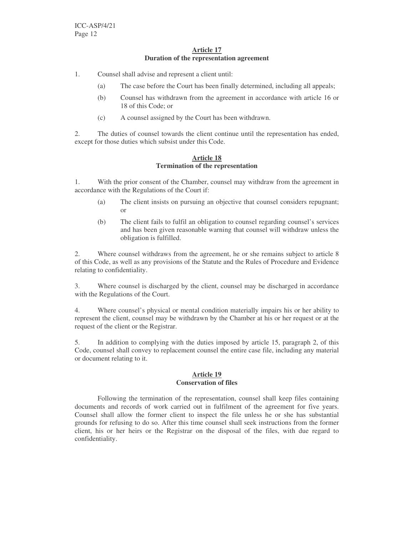#### **Article 17 Duration of the representation agreement**

- 1. Counsel shall advise and represent a client until:
	- (a) The case before the Court has been finally determined, including all appeals;
	- (b) Counsel has withdrawn from the agreement in accordance with article 16 or 18 of this Code; or
	- (c) A counsel assigned by the Court has been withdrawn.

2. The duties of counsel towards the client continue until the representation has ended, except for those duties which subsist under this Code.

#### **Article 18 Termination of the representation**

1. With the prior consent of the Chamber, counsel may withdraw from the agreement in accordance with the Regulations of the Court if:

- (a) The client insists on pursuing an objective that counsel considers repugnant; or
- (b) The client fails to fulfil an obligation to counsel regarding counsel's services and has been given reasonable warning that counsel will withdraw unless the obligation is fulfilled.

2. Where counsel withdraws from the agreement, he or she remains subject to article 8 of this Code, as well as any provisions of the Statute and the Rules of Procedure and Evidence relating to confidentiality.

3. Where counsel is discharged by the client, counsel may be discharged in accordance with the Regulations of the Court.

4. Where counsel's physical or mental condition materially impairs his or her ability to represent the client, counsel may be withdrawn by the Chamber at his or her request or at the request of the client or the Registrar.

5. In addition to complying with the duties imposed by article 15, paragraph 2, of this Code, counsel shall convey to replacement counsel the entire case file, including any material or document relating to it.

#### **Article 19 Conservation of files**

Following the termination of the representation, counsel shall keep files containing documents and records of work carried out in fulfilment of the agreement for five years. Counsel shall allow the former client to inspect the file unless he or she has substantial grounds for refusing to do so. After this time counsel shall seek instructions from the former client, his or her heirs or the Registrar on the disposal of the files, with due regard to confidentiality.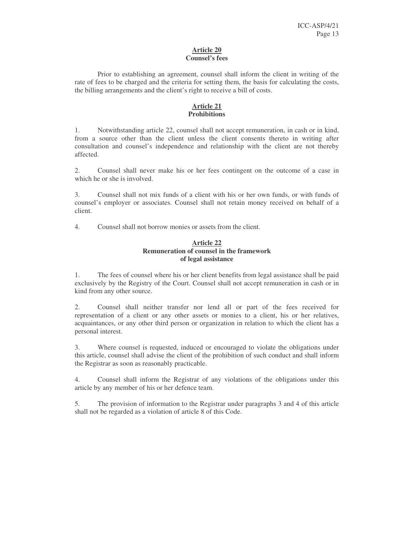#### **Article 20 Counsel's fees**

Prior to establishing an agreement, counsel shall inform the client in writing of the rate of fees to be charged and the criteria for setting them, the basis for calculating the costs, the billing arrangements and the client's right to receive a bill of costs.

#### **Article 21 Prohibitions**

1. Notwithstanding article 22, counsel shall not accept remuneration, in cash or in kind, from a source other than the client unless the client consents thereto in writing after consultation and counsel's independence and relationship with the client are not thereby affected.

2. Counsel shall never make his or her fees contingent on the outcome of a case in which he or she is involved.

3. Counsel shall not mix funds of a client with his or her own funds, or with funds of counsel's employer or associates. Counsel shall not retain money received on behalf of a client.

4. Counsel shall not borrow monies or assets from the client.

#### **Article 22 Remuneration of counsel in the framework of legal assistance**

1. The fees of counsel where his or her client benefits from legal assistance shall be paid exclusively by the Registry of the Court. Counsel shall not accept remuneration in cash or in kind from any other source.

2. Counsel shall neither transfer nor lend all or part of the fees received for representation of a client or any other assets or monies to a client, his or her relatives, acquaintances, or any other third person or organization in relation to which the client has a personal interest.

3. Where counsel is requested, induced or encouraged to violate the obligations under this article, counsel shall advise the client of the prohibition of such conduct and shall inform the Registrar as soon as reasonably practicable.

4. Counsel shall inform the Registrar of any violations of the obligations under this article by any member of his or her defence team.

5. The provision of information to the Registrar under paragraphs 3 and 4 of this article shall not be regarded as a violation of article 8 of this Code.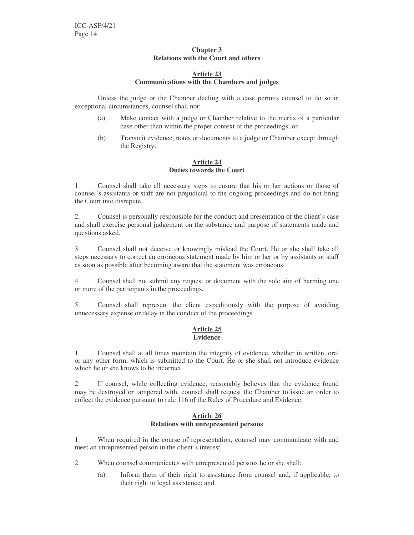#### **Chapter 3 Relations with the Court and others**

#### **Article 23 Communications with the Chambers and judges**

Unless the judge or the Chamber dealing with a case permits counsel to do so in exceptional circumstances, counsel shall not:

- (a) Make contact with a judge or Chamber relative to the merits of a particular case other than within the proper context of the proceedings; or
- (b) Transmit evidence, notes or documents to a judge or Chamber except through the Registry.

#### **Article 24 Duties towards the Court**

1. Counsel shall take all necessary steps to ensure that his or her actions or those of counsel's assistants or staff are not prejudicial to the ongoing proceedings and do not bring the Court into disrepute.

2. Counsel is personally responsible for the conduct and presentation of the client's case and shall exercise personal judgement on the substance and purpose of statements made and questions asked.

3. Counsel shall not deceive or knowingly mislead the Court. He or she shall take all steps necessary to correct an erroneous statement made by him or her or by assistants or staff as soon as possible after becoming aware that the statement was erroneous.

4. Counsel shall not submit any request or document with the sole aim of harming one or more of the participants in the proceedings.

5. Counsel shall represent the client expeditiously with the purpose of avoiding unnecessary expense or delay in the conduct of the proceedings.

#### **Article 25 Evidence**

1. Counsel shall at all times maintain the integrity of evidence, whether in written, oral or any other form, which is submitted to the Court. He or she shall not introduce evidence which he or she knows to be incorrect.

2. If counsel, while collecting evidence, reasonably believes that the evidence found may be destroyed or tampered with, counsel shall request the Chamber to issue an order to collect the evidence pursuant to rule 116 of the Rules of Procedure and Evidence.

#### **Article 26 Relations with unrepresented persons**

1. When required in the course of representation, counsel may communicate with and meet an unrepresented person in the client's interest.

- 2. When counsel communicates with unrepresented persons he or she shall:
	- (a) Inform them of their right to assistance from counsel and, if applicable, to their right to legal assistance; and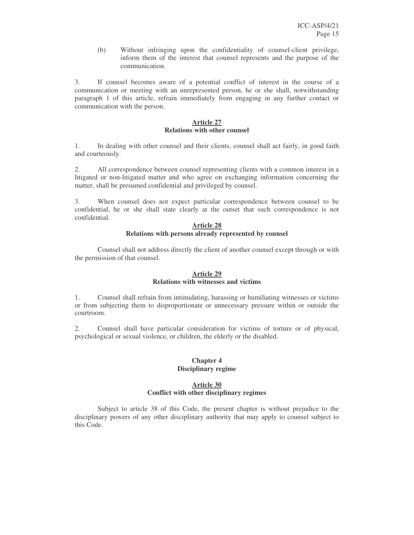(b) Without infringing upon the confidentiality of counsel-client privilege, inform them of the interest that counsel represents and the purpose of the communication.

3. If counsel becomes aware of a potential conflict of interest in the course of a communication or meeting with an unrepresented person, he or she shall, notwithstanding paragraph 1 of this article, refrain immediately from engaging in any further contact or communication with the person.

#### **Article 27 Relations with other counsel**

1. In dealing with other counsel and their clients, counsel shall act fairly, in good faith and courteously.

2. All correspondence between counsel representing clients with a common interest in a litigated or non-litigated matter and who agree on exchanging information concerning the matter, shall be presumed confidential and privileged by counsel.

3. When counsel does not expect particular correspondence between counsel to be confidential, he or she shall state clearly at the outset that such correspondence is not confidential.

#### **Article 28 Relations with persons already represented by counsel**

Counsel shall not address directly the client of another counsel except through or with the permission of that counsel.

#### **Article 29 Relations with witnesses and victims**

1. Counsel shall refrain from intimidating, harassing or humiliating witnesses or victims or from subjecting them to disproportionate or unnecessary pressure within or outside the courtroom.

2. Counsel shall have particular consideration for victims of torture or of physical, psychological or sexual violence, or children, the elderly or the disabled.

#### **Chapter 4 Disciplinary regime**

#### **Article 30 Conflict with other disciplinary regimes**

Subject to article 38 of this Code, the present chapter is without prejudice to the disciplinary powers of any other disciplinary authority that may apply to counsel subject to this Code.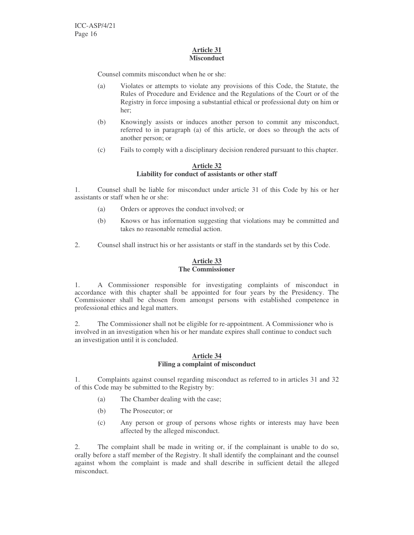#### **Article 31 Misconduct**

Counsel commits misconduct when he or she:

- (a) Violates or attempts to violate any provisions of this Code, the Statute, the Rules of Procedure and Evidence and the Regulations of the Court or of the Registry in force imposing a substantial ethical or professional duty on him or her;
- (b) Knowingly assists or induces another person to commit any misconduct, referred to in paragraph (a) of this article, or does so through the acts of another person; or
- (c) Fails to comply with a disciplinary decision rendered pursuant to this chapter.

#### **Article 32 Liability for conduct of assistants or other staff**

1. Counsel shall be liable for misconduct under article 31 of this Code by his or her assistants or staff when he or she:

- (a) Orders or approves the conduct involved; or
- (b) Knows or has information suggesting that violations may be committed and takes no reasonable remedial action.
- 2. Counsel shall instruct his or her assistants or staff in the standards set by this Code.

#### **Article 33 The Commissioner**

1. A Commissioner responsible for investigating complaints of misconduct in accordance with this chapter shall be appointed for four years by the Presidency. The Commissioner shall be chosen from amongst persons with established competence in professional ethics and legal matters.

2. The Commissioner shall not be eligible for re-appointment. A Commissioner who is involved in an investigation when his or her mandate expires shall continue to conduct such an investigation until it is concluded.

#### **Article 34 Filing a complaint of misconduct**

1. Complaints against counsel regarding misconduct as referred to in articles 31 and 32 of this Code may be submitted to the Registry by:

- (a) The Chamber dealing with the case;
- (b) The Prosecutor; or
- (c) Any person or group of persons whose rights or interests may have been affected by the alleged misconduct.

2. The complaint shall be made in writing or, if the complainant is unable to do so, orally before a staff member of the Registry. It shall identify the complainant and the counsel against whom the complaint is made and shall describe in sufficient detail the alleged misconduct.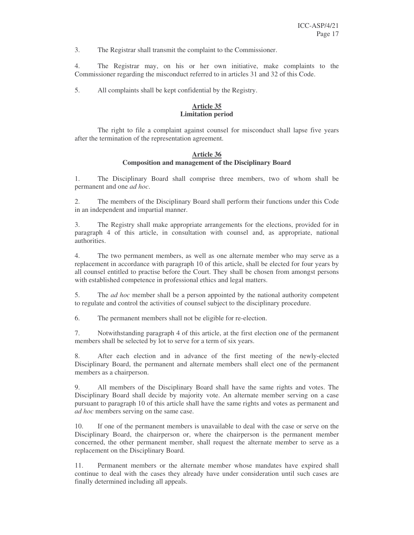3. The Registrar shall transmit the complaint to the Commissioner.

4. The Registrar may, on his or her own initiative, make complaints to the Commissioner regarding the misconduct referred to in articles 31 and 32 of this Code.

5. All complaints shall be kept confidential by the Registry.

#### **Article 35 Limitation period**

The right to file a complaint against counsel for misconduct shall lapse five years after the termination of the representation agreement.

#### **Article 36 Composition and management of the Disciplinary Board**

1. The Disciplinary Board shall comprise three members, two of whom shall be permanent and one *ad hoc*.

2. The members of the Disciplinary Board shall perform their functions under this Code in an independent and impartial manner.

3. The Registry shall make appropriate arrangements for the elections, provided for in paragraph 4 of this article, in consultation with counsel and, as appropriate, national authorities.

4. The two permanent members, as well as one alternate member who may serve as a replacement in accordance with paragraph 10 of this article, shall be elected for four years by all counsel entitled to practise before the Court. They shall be chosen from amongst persons with established competence in professional ethics and legal matters.

5. The *ad hoc* member shall be a person appointed by the national authority competent to regulate and control the activities of counsel subject to the disciplinary procedure.

6. The permanent members shall not be eligible for re-election.

7. Notwithstanding paragraph 4 of this article, at the first election one of the permanent members shall be selected by lot to serve for a term of six years.

8. After each election and in advance of the first meeting of the newly-elected Disciplinary Board, the permanent and alternate members shall elect one of the permanent members as a chairperson.

9. All members of the Disciplinary Board shall have the same rights and votes. The Disciplinary Board shall decide by majority vote. An alternate member serving on a case pursuant to paragraph 10 of this article shall have the same rights and votes as permanent and *ad hoc* members serving on the same case.

10. If one of the permanent members is unavailable to deal with the case or serve on the Disciplinary Board, the chairperson or, where the chairperson is the permanent member concerned, the other permanent member, shall request the alternate member to serve as a replacement on the Disciplinary Board.

11. Permanent members or the alternate member whose mandates have expired shall continue to deal with the cases they already have under consideration until such cases are finally determined including all appeals.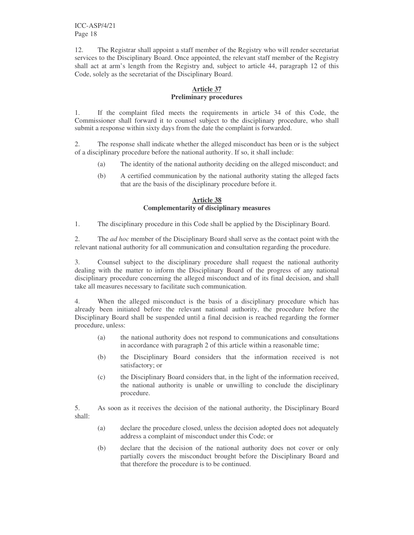12. The Registrar shall appoint a staff member of the Registry who will render secretariat services to the Disciplinary Board. Once appointed, the relevant staff member of the Registry shall act at arm's length from the Registry and, subject to article 44, paragraph 12 of this Code, solely as the secretariat of the Disciplinary Board.

#### **Article 37 Preliminary procedures**

1. If the complaint filed meets the requirements in article 34 of this Code, the Commissioner shall forward it to counsel subject to the disciplinary procedure, who shall submit a response within sixty days from the date the complaint is forwarded.

2. The response shall indicate whether the alleged misconduct has been or is the subject of a disciplinary procedure before the national authority. If so, it shall include:

- (a) The identity of the national authority deciding on the alleged misconduct; and
- (b) A certified communication by the national authority stating the alleged facts that are the basis of the disciplinary procedure before it.

#### **Article 38 Complementarity of disciplinary measures**

1. The disciplinary procedure in this Code shall be applied by the Disciplinary Board.

2. The *ad hoc* member of the Disciplinary Board shall serve as the contact point with the relevant national authority for all communication and consultation regarding the procedure.

3. Counsel subject to the disciplinary procedure shall request the national authority dealing with the matter to inform the Disciplinary Board of the progress of any national disciplinary procedure concerning the alleged misconduct and of its final decision, and shall take all measures necessary to facilitate such communication.

4. When the alleged misconduct is the basis of a disciplinary procedure which has already been initiated before the relevant national authority, the procedure before the Disciplinary Board shall be suspended until a final decision is reached regarding the former procedure, unless:

- (a) the national authority does not respond to communications and consultations in accordance with paragraph 2 of this article within a reasonable time;
- (b) the Disciplinary Board considers that the information received is not satisfactory; or
- (c) the Disciplinary Board considers that, in the light of the information received, the national authority is unable or unwilling to conclude the disciplinary procedure.

5. As soon as it receives the decision of the national authority, the Disciplinary Board shall:

- (a) declare the procedure closed, unless the decision adopted does not adequately address a complaint of misconduct under this Code; or
- (b) declare that the decision of the national authority does not cover or only partially covers the misconduct brought before the Disciplinary Board and that therefore the procedure is to be continued.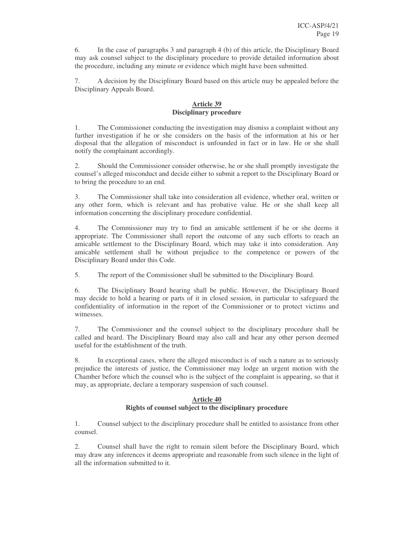6. In the case of paragraphs 3 and paragraph 4 (b) of this article, the Disciplinary Board may ask counsel subject to the disciplinary procedure to provide detailed information about the procedure, including any minute or evidence which might have been submitted.

7. A decision by the Disciplinary Board based on this article may be appealed before the Disciplinary Appeals Board.

#### **Article 39 Disciplinary procedure**

1. The Commissioner conducting the investigation may dismiss a complaint without any further investigation if he or she considers on the basis of the information at his or her disposal that the allegation of misconduct is unfounded in fact or in law. He or she shall notify the complainant accordingly.

2. Should the Commissioner consider otherwise, he or she shall promptly investigate the counsel's alleged misconduct and decide either to submit a report to the Disciplinary Board or to bring the procedure to an end.

3. The Commissioner shall take into consideration all evidence, whether oral, written or any other form, which is relevant and has probative value. He or she shall keep all information concerning the disciplinary procedure confidential.

4. The Commissioner may try to find an amicable settlement if he or she deems it appropriate. The Commissioner shall report the outcome of any such efforts to reach an amicable settlement to the Disciplinary Board, which may take it into consideration. Any amicable settlement shall be without prejudice to the competence or powers of the Disciplinary Board under this Code.

5. The report of the Commissioner shall be submitted to the Disciplinary Board.

6. The Disciplinary Board hearing shall be public. However, the Disciplinary Board may decide to hold a hearing or parts of it in closed session, in particular to safeguard the confidentiality of information in the report of the Commissioner or to protect victims and witnesses.

7. The Commissioner and the counsel subject to the disciplinary procedure shall be called and heard. The Disciplinary Board may also call and hear any other person deemed useful for the establishment of the truth.

8. In exceptional cases, where the alleged misconduct is of such a nature as to seriously prejudice the interests of justice, the Commissioner may lodge an urgent motion with the Chamber before which the counsel who is the subject of the complaint is appearing, so that it may, as appropriate, declare a temporary suspension of such counsel.

#### **Article 40 Rights of counsel subject to the disciplinary procedure**

1. Counsel subject to the disciplinary procedure shall be entitled to assistance from other counsel.

2. Counsel shall have the right to remain silent before the Disciplinary Board, which may draw any inferences it deems appropriate and reasonable from such silence in the light of all the information submitted to it.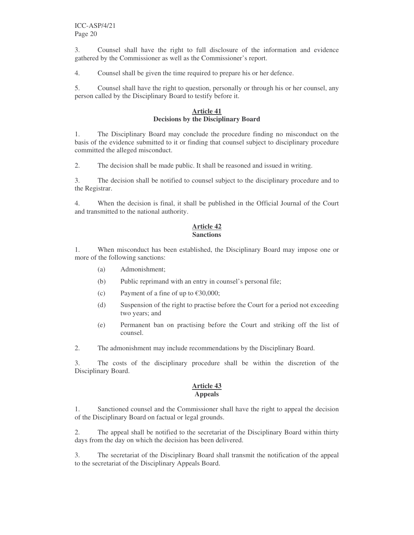3. Counsel shall have the right to full disclosure of the information and evidence gathered by the Commissioner as well as the Commissioner's report.

4. Counsel shall be given the time required to prepare his or her defence.

5. Counsel shall have the right to question, personally or through his or her counsel, any person called by the Disciplinary Board to testify before it.

#### **Article 41 Decisions by the Disciplinary Board**

1. The Disciplinary Board may conclude the procedure finding no misconduct on the basis of the evidence submitted to it or finding that counsel subject to disciplinary procedure committed the alleged misconduct.

2. The decision shall be made public. It shall be reasoned and issued in writing.

3. The decision shall be notified to counsel subject to the disciplinary procedure and to the Registrar.

4. When the decision is final, it shall be published in the Official Journal of the Court and transmitted to the national authority.

#### **Article 42 Sanctions**

1. When misconduct has been established, the Disciplinary Board may impose one or more of the following sanctions:

- (a) Admonishment;
- (b) Public reprimand with an entry in counsel's personal file;
- (c) Payment of a fine of up to  $\epsilon$ 30,000;
- (d) Suspension of the right to practise before the Court for a period not exceeding two years; and
- (e) Permanent ban on practising before the Court and striking off the list of counsel.

2. The admonishment may include recommendations by the Disciplinary Board.

3. The costs of the disciplinary procedure shall be within the discretion of the Disciplinary Board.

#### **Article 43 Appeals**

1. Sanctioned counsel and the Commissioner shall have the right to appeal the decision of the Disciplinary Board on factual or legal grounds.

2. The appeal shall be notified to the secretariat of the Disciplinary Board within thirty days from the day on which the decision has been delivered.

3. The secretariat of the Disciplinary Board shall transmit the notification of the appeal to the secretariat of the Disciplinary Appeals Board.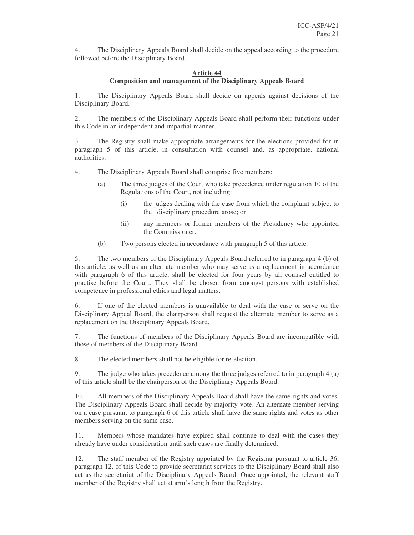4. The Disciplinary Appeals Board shall decide on the appeal according to the procedure followed before the Disciplinary Board.

#### **Article 44**

#### **Composition and management of the Disciplinary Appeals Board**

1. The Disciplinary Appeals Board shall decide on appeals against decisions of the Disciplinary Board.

2. The members of the Disciplinary Appeals Board shall perform their functions under this Code in an independent and impartial manner.

3. The Registry shall make appropriate arrangements for the elections provided for in paragraph 5 of this article, in consultation with counsel and, as appropriate, national authorities.

4. The Disciplinary Appeals Board shall comprise five members:

- (a) The three judges of the Court who take precedence under regulation 10 of the Regulations of the Court, not including:
	- (i) the judges dealing with the case from which the complaint subject to the disciplinary procedure arose; or
	- (ii) any members or former members of the Presidency who appointed the Commissioner.
- (b) Two persons elected in accordance with paragraph 5 of this article.

5. The two members of the Disciplinary Appeals Board referred to in paragraph 4 (b) of this article, as well as an alternate member who may serve as a replacement in accordance with paragraph 6 of this article, shall be elected for four years by all counsel entitled to practise before the Court. They shall be chosen from amongst persons with established competence in professional ethics and legal matters.

6. If one of the elected members is unavailable to deal with the case or serve on the Disciplinary Appeal Board, the chairperson shall request the alternate member to serve as a replacement on the Disciplinary Appeals Board.

7. The functions of members of the Disciplinary Appeals Board are incompatible with those of members of the Disciplinary Board.

8. The elected members shall not be eligible for re-election.

9. The judge who takes precedence among the three judges referred to in paragraph 4 (a) of this article shall be the chairperson of the Disciplinary Appeals Board.

10. All members of the Disciplinary Appeals Board shall have the same rights and votes. The Disciplinary Appeals Board shall decide by majority vote. An alternate member serving on a case pursuant to paragraph 6 of this article shall have the same rights and votes as other members serving on the same case.

11. Members whose mandates have expired shall continue to deal with the cases they already have under consideration until such cases are finally determined.

12. The staff member of the Registry appointed by the Registrar pursuant to article 36, paragraph 12, of this Code to provide secretariat services to the Disciplinary Board shall also act as the secretariat of the Disciplinary Appeals Board. Once appointed, the relevant staff member of the Registry shall act at arm's length from the Registry.